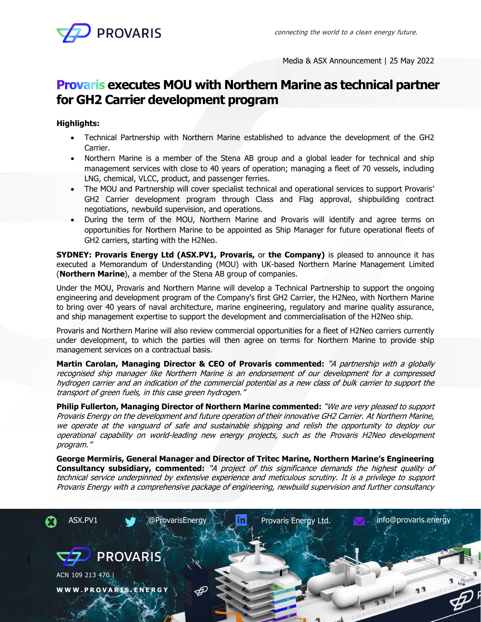

Media & ASX Announcement | 25 May 2022

# **Provaris executes MOU with Northern Marine as technical partner for GH2 Carrier development program**

## **Highlights:**

- Technical Partnership with Northern Marine established to advance the development of the GH2 Carrier.
- Northern Marine is a member of the Stena AB group and a global leader for technical and ship management services with close to 40 years of operation; managing a fleet of 70 vessels, including LNG, chemical, VLCC, product, and passenger ferries.
- The MOU and Partnership will cover specialist technical and operational services to support Provaris' GH2 Carrier development program through Class and Flag approval, shipbuilding contract negotiations, newbuild supervision, and operations.
- During the term of the MOU, Northern Marine and Provaris will identify and agree terms on opportunities for Northern Marine to be appointed as Ship Manager for future operational fleets of GH2 carriers, starting with the H2Neo.

**SYDNEY: Provaris Energy Ltd (ASX.PV1, Provaris,** or **the Company)** is pleased to announce it has executed a Memorandum of Understanding (MOU) with UK-based Northern Marine Management Limited (**Northern Marine**), a member of the Stena AB group of companies.

Under the MOU, Provaris and Northern Marine will develop a Technical Partnership to support the ongoing engineering and development program of the Company's first GH2 Carrier, the H2Neo, with Northern Marine to bring over 40 years of naval architecture, marine engineering, regulatory and marine quality assurance, and ship management expertise to support the development and commercialisation of the H2Neo ship.

Provaris and Northern Marine will also review commercial opportunities for a fleet of H2Neo carriers currently under development, to which the parties will then agree on terms for Northern Marine to provide ship management services on a contractual basis.

**Martin Carolan, Managing Director & CEO of Provaris commented:** "A partnership with a globally recognised ship manager like Northern Marine is an endorsement of our development for a compressed hydrogen carrier and an indication of the commercial potential as a new class of bulk carrier to support the transport of green fuels, in this case green hydrogen."

**Philip Fullerton, Managing Director of Northern Marine commented:** "We are very pleased to support Provaris Energy on the development and future operation of their innovative GH2 Carrier. At Northern Marine, we operate at the vanguard of safe and sustainable shipping and relish the opportunity to deploy our operational capability on world-leading new energy projects, such as the Provaris H2Neo development program."

**George Mermiris, General Manager and Director of Tritec Marine, Northern Marine's Engineering Consultancy subsidiary, commented:** "A project of this significance demands the highest quality of technical service underpinned by extensive experience and meticulous scrutiny. It is a privilege to support Provaris Energy with a comprehensive package of engineering, newbuild supervision and further consultancy

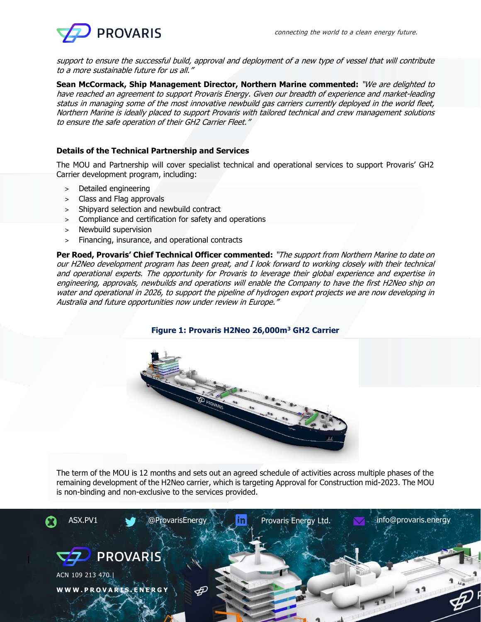

support to ensure the successful build, approval and deployment of a new type of vessel that will contribute to a more sustainable future for us all."

**Sean McCormack, Ship Management Director, Northern Marine commented:** "We are delighted to have reached an agreement to support Provaris Energy. Given our breadth of experience and market-leading status in managing some of the most innovative newbuild gas carriers currently deployed in the world fleet, Northern Marine is ideally placed to support Provaris with tailored technical and crew management solutions to ensure the safe operation of their GH2 Carrier Fleet."

## **Details of the Technical Partnership and Services**

The MOU and Partnership will cover specialist technical and operational services to support Provaris' GH2 Carrier development program, including:

- > Detailed engineering
- > Class and Flag approvals
- > Shipyard selection and newbuild contract
- > Compliance and certification for safety and operations
- > Newbuild supervision
- > Financing, insurance, and operational contracts

**Per Roed, Provaris' Chief Technical Officer commented:** "The support from Northern Marine to date on our H2Neo development program has been great, and I look forward to working closely with their technical and operational experts. The opportunity for Provaris to leverage their global experience and expertise in engineering, approvals, newbuilds and operations will enable the Company to have the first H2Neo ship on water and operational in 2026, to support the pipeline of hydrogen export projects we are now developing in Australia and future opportunities now under review in Europe."

## **Figure 1: Provaris H2Neo 26,000m<sup>3</sup> GH2 Carrier**



The term of the MOU is 12 months and sets out an agreed schedule of activities across multiple phases of the remaining development of the H2Neo carrier, which is targeting Approval for Construction mid-2023. The MOU is non-binding and non-exclusive to the services provided.